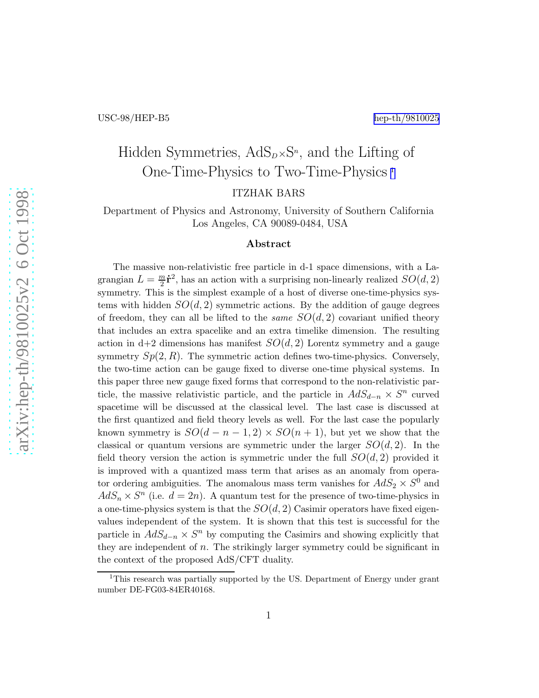# Hidden Symmetries,  $AdS_{D} \times S^{n}$ , and the Lifting of One-Time-Physics to Two-Time-Physics <sup>1</sup>

ITZHAK BARS

Department of Physics and Astronomy, University of Southern California Los Angeles, CA 90089-0484, USA

#### Abstract

The massive non-relativistic free particle in d-1 space dimensions, with a Lagrangian  $L = \frac{m}{2}$  $\frac{n}{2}$ **i**<sup>2</sup>, has an action with a surprising non-linearly realized  $SO(d, 2)$ symmetry. This is the simplest example of a host of diverse one-time-physics systems with hidden  $SO(d, 2)$  symmetric actions. By the addition of gauge degrees of freedom, they can all be lifted to the *same*  $SO(d, 2)$  covariant unified theory that includes an extra spacelike and an extra timelike dimension. The resulting action in  $d+2$  dimensions has manifest  $SO(d, 2)$  Lorentz symmetry and a gauge symmetry  $Sp(2, R)$ . The symmetric action defines two-time-physics. Conversely, the two-time action can be gauge fixed to diverse one-time physical systems. In this paper three new gauge fixed forms that correspond to the non-relativistic particle, the massive relativistic particle, and the particle in  $AdS_{d-n} \times S^n$  curved spacetime will be discussed at the classical level. The last case is discussed at the first quantized and field theory levels as well. For the last case the popularly known symmetry is  $SO(d - n - 1, 2) \times SO(n + 1)$ , but yet we show that the classical or quantum versions are symmetric under the larger  $SO(d, 2)$ . In the field theory version the action is symmetric under the full  $SO(d, 2)$  provided it is improved with a quantized mass term that arises as an anomaly from operator ordering ambiguities. The anomalous mass term vanishes for  $AdS_2 \times S^0$  and  $AdS_n \times S^n$  (i.e.  $d = 2n$ ). A quantum test for the presence of two-time-physics in a one-time-physics system is that the  $SO(d, 2)$  Casimir operators have fixed eigenvalues independent of the system. It is shown that this test is successful for the particle in  $AdS_{d-n} \times S^n$  by computing the Casimirs and showing explicitly that they are independent of  $n$ . The strikingly larger symmetry could be significant in the context of the proposed AdS/CFT duality.

<sup>&</sup>lt;sup>1</sup>This research was partially supported by the US. Department of Energy under grant number DE-FG03-84ER40168.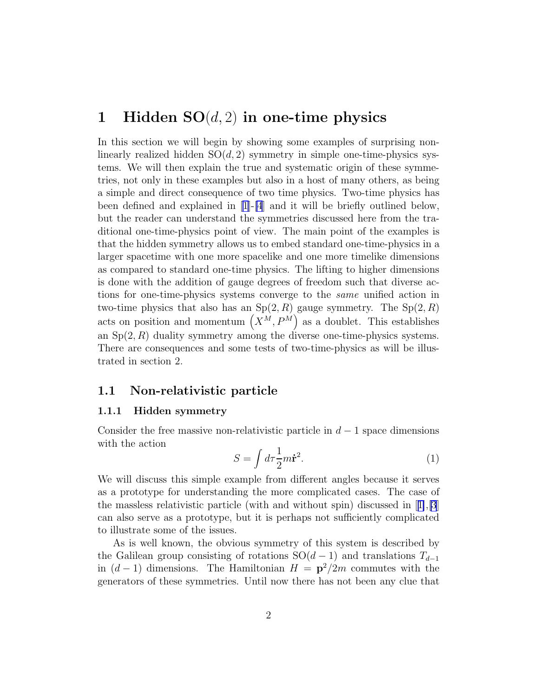## <span id="page-1-0"></span>1 Hidden  $SO(d, 2)$  in one-time physics

In this section we will begin by showing some examples of surprising nonlinearly realized hidden  $SO(d, 2)$  symmetry in simple one-time-physics systems. We will then explain the true and systematic origin of these symmetries, not only in these examples but also in a host of many others, as being a simple and direct consequence of two time physics. Two-time physics has been defined and explained in [\[1](#page-21-0)]-[\[4](#page-21-0)] and it will be briefly outlined below, but the reader can understand the symmetries discussed here from the traditional one-time-physics point of view. The main point of the examples is that the hidden symmetry allows us to embed standard one-time-physics in a larger spacetime with one more spacelike and one more timelike dimensions as compared to standard one-time physics. The lifting to higher dimensions is done with the addition of gauge degrees of freedom such that diverse actions for one-time-physics systems converge to the same unified action in two-time physics that also has an  $Sp(2, R)$  gauge symmetry. The  $Sp(2, R)$ acts on position and momentum  $(X^M, P^M)$  as a doublet. This establishes an  $Sp(2, R)$  duality symmetry among the diverse one-time-physics systems. There are consequences and some tests of two-time-physics as will be illustrated in section 2.

#### 1.1 Non-relativistic particle

#### 1.1.1 Hidden symmetry

Consider the free massive non-relativistic particle in  $d-1$  space dimensions with the action

$$
S = \int d\tau \frac{1}{2}m\dot{\mathbf{r}}^2.
$$
 (1)

We will discuss this simple example from different angles because it serves as a prototype for understanding the more complicated cases. The case of the massless relativistic particle (with and without spin) discussed in[[1\]](#page-21-0),[\[3](#page-21-0)] can also serve as a prototype, but it is perhaps not sufficiently complicated to illustrate some of the issues.

As is well known, the obvious symmetry of this system is described by the Galilean group consisting of rotations  $SO(d-1)$  and translations  $T_{d-1}$ in  $(d-1)$  dimensions. The Hamiltonian  $H = \mathbf{p}^2/2m$  commutes with the generators of these symmetries. Until now there has not been any clue that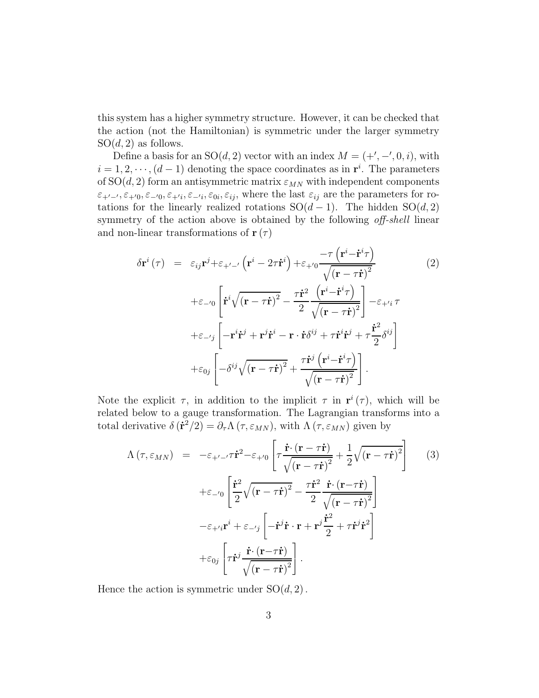<span id="page-2-0"></span>this system has a higher symmetry structure. However, it can be checked that the action (not the Hamiltonian) is symmetric under the larger symmetry  $SO(d, 2)$  as follows.

Define a basis for an  $SO(d, 2)$  vector with an index  $M = (+', -', 0, i)$ , with  $i = 1, 2, \dots, (d-1)$  denoting the space coordinates as in  $\mathbf{r}^i$ . The parameters of  $SO(d, 2)$  form an antisymmetric matrix  $\varepsilon_{MN}$  with independent components  $\varepsilon_{+'-'}$ ,  $\varepsilon_{+'}$ ,  $\varepsilon_{-'}$ ,  $\varepsilon_{+'}$ ,  $\varepsilon_{-'}$ ,  $\varepsilon_{0i}$ ,  $\varepsilon_{ij}$ , where the last  $\varepsilon_{ij}$  are the parameters for rotations for the linearly realized rotations  $SO(d-1)$ . The hidden  $SO(d, 2)$ symmetry of the action above is obtained by the following *off-shell* linear and non-linear transformations of  $\mathbf{r}(\tau)$ 

$$
\delta \mathbf{r}^{i}(\tau) = \varepsilon_{ij} \mathbf{r}^{j} + \varepsilon_{+'-'} \left( \mathbf{r}^{i} - 2\tau \dot{\mathbf{r}}^{i} \right) + \varepsilon_{+'} \frac{-\tau \left( \mathbf{r}^{i} - \dot{\mathbf{r}}^{i} \tau \right)}{\sqrt{\left( \mathbf{r} - \tau \dot{\mathbf{r}} \right)^{2}}} \tag{2}
$$
\n
$$
+ \varepsilon_{-'} \left[ \dot{\mathbf{r}}^{i} \sqrt{\left( \mathbf{r} - \tau \dot{\mathbf{r}} \right)^{2}} - \frac{\tau \dot{\mathbf{r}}^{2}}{2} \frac{\left( \mathbf{r}^{i} - \dot{\mathbf{r}}^{i} \tau \right)}{\sqrt{\left( \mathbf{r} - \tau \dot{\mathbf{r}} \right)^{2}}} \right] - \varepsilon_{+'i} \tau
$$
\n
$$
+ \varepsilon_{-'j} \left[ -\mathbf{r}^{i} \dot{\mathbf{r}}^{j} + \mathbf{r}^{j} \dot{\mathbf{r}}^{i} - \mathbf{r} \cdot \dot{\mathbf{r}} \delta^{ij} + \tau \dot{\mathbf{r}}^{i} \dot{\mathbf{r}}^{j} + \tau \frac{\dot{\mathbf{r}}^{2}}{2} \delta^{ij} \right]
$$
\n
$$
+ \varepsilon_{0j} \left[ -\delta^{ij} \sqrt{\left( \mathbf{r} - \tau \dot{\mathbf{r}} \right)^{2}} + \frac{\tau \dot{\mathbf{r}}^{j} \left( \mathbf{r}^{i} - \dot{\mathbf{r}}^{i} \tau \right)}{\sqrt{\left( \mathbf{r} - \tau \dot{\mathbf{r}} \right)^{2}}} \right].
$$
\n(2)

Note the explicit  $\tau$ , in addition to the implicit  $\tau$  in  $\mathbf{r}^{i}(\tau)$ , which will be related below to a gauge transformation. The Lagrangian transforms into a total derivative  $\delta(\dot{\mathbf{r}}^2/2) = \partial_\tau \Lambda(\tau, \varepsilon_{MN})$ , with  $\Lambda(\tau, \varepsilon_{MN})$  given by

$$
\Lambda \left( \tau, \varepsilon_{MN} \right) = -\varepsilon_{+'-'} \tau \dot{\mathbf{r}}^2 - \varepsilon_{+'} 0 \left[ \tau \frac{\dot{\mathbf{r}} \cdot (\mathbf{r} - \tau \dot{\mathbf{r}})}{\sqrt{(\mathbf{r} - \tau \dot{\mathbf{r}})^2}} + \frac{1}{2} \sqrt{(\mathbf{r} - \tau \dot{\mathbf{r}})^2} \right]
$$
(3)  
 
$$
+ \varepsilon_{-'} 0 \left[ \frac{\dot{\mathbf{r}}^2}{2} \sqrt{(\mathbf{r} - \tau \dot{\mathbf{r}})^2} - \frac{\tau \dot{\mathbf{r}}^2}{2} \frac{\dot{\mathbf{r}} \cdot (\mathbf{r} - \tau \dot{\mathbf{r}})}{\sqrt{(\mathbf{r} - \tau \dot{\mathbf{r}})^2}} \right]
$$

$$
- \varepsilon_{+'} i \mathbf{r}^i + \varepsilon_{-'} j \left[ -\dot{\mathbf{r}}^j \dot{\mathbf{r}} \cdot \mathbf{r} + \mathbf{r}^j \frac{\dot{\mathbf{r}}^2}{2} + \tau \dot{\mathbf{r}}^j \dot{\mathbf{r}}^2 \right]
$$

$$
+ \varepsilon_{0j} \left[ \tau \dot{\mathbf{r}}^j \frac{\dot{\mathbf{r}} \cdot (\mathbf{r} - \tau \dot{\mathbf{r}})}{\sqrt{(\mathbf{r} - \tau \dot{\mathbf{r}})^2}} \right].
$$

Hence the action is symmetric under  $SO(d, 2)$ .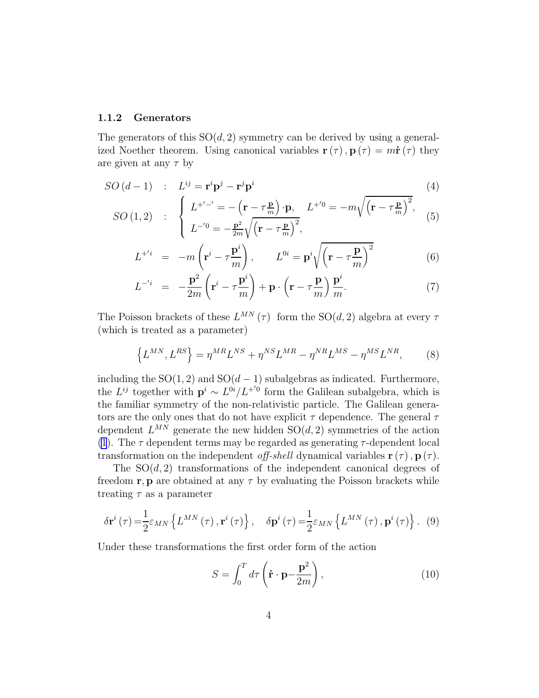#### <span id="page-3-0"></span>1.1.2 Generators

The generators of this  $SO(d, 2)$  symmetry can be derived by using a generalized Noether theorem. Using canonical variables  $\mathbf{r}(\tau)$ ,  $\mathbf{p}(\tau) = m\dot{\mathbf{r}}(\tau)$  they are given at any  $\tau$  by

$$
SO(d-1) \quad : \quad L^{ij} = \mathbf{r}^i \mathbf{p}^j - \mathbf{r}^j \mathbf{p}^i \tag{4}
$$

$$
SO(1,2) : \begin{cases} L^{+/-'} = -\left(\mathbf{r} - \tau \frac{\mathbf{p}}{m}\right) \cdot \mathbf{p}, L^{+'} = -m\sqrt{\left(\mathbf{r} - \tau \frac{\mathbf{p}}{m}\right)^2}, \\ L^{-'} = -\frac{\mathbf{p}^2}{2m}\sqrt{\left(\mathbf{r} - \tau \frac{\mathbf{p}}{m}\right)^2}, \end{cases}
$$
(5)

$$
L^{+^i} = -m\left(\mathbf{r}^i - \tau \frac{\mathbf{p}^i}{m}\right), \qquad L^{0i} = \mathbf{p}^i \sqrt{\left(\mathbf{r} - \tau \frac{\mathbf{p}}{m}\right)^2} \tag{6}
$$

$$
L^{-i} = -\frac{\mathbf{p}^2}{2m} \left( \mathbf{r}^i - \tau \frac{\mathbf{p}^i}{m} \right) + \mathbf{p} \cdot \left( \mathbf{r} - \tau \frac{\mathbf{p}}{m} \right) \frac{\mathbf{p}^i}{m}.
$$
 (7)

The Poisson brackets of these  $L^{MN}(\tau)$  form the SO(d, 2) algebra at every  $\tau$ (which is treated as a parameter)

$$
\left\{L^{MN}, L^{RS}\right\} = \eta^{MR}L^{NS} + \eta^{NS}L^{MR} - \eta^{NR}L^{MS} - \eta^{MS}L^{NR},\tag{8}
$$

including the  $SO(1, 2)$  and  $SO(d-1)$  subalgebras as indicated. Furthermore, the  $L^{ij}$  together with  $\mathbf{p}^i \sim L^{0i}/L^{+0}$  form the Galilean subalgebra, which is the familiar symmetry of the non-relativistic particle. The Galilean generators are the only ones that do not have explicit  $\tau$  dependence. The general  $\tau$ dependent  $L^{MN}$  generate the new hidden  $SO(d, 2)$  symmetries of the action [\(1](#page-1-0)). The  $\tau$  dependent terms may be regarded as generating  $\tau$ -dependent local transformation on the independent of f-shell dynamical variables  $\mathbf{r}(\tau)$ ,  $\mathbf{p}(\tau)$ .

The  $SO(d, 2)$  transformations of the independent canonical degrees of freedom r, p are obtained at any  $\tau$  by evaluating the Poisson brackets while treating  $\tau$  as a parameter

$$
\delta \mathbf{r}^{i}(\tau) = \frac{1}{2} \varepsilon_{MN} \left\{ L^{MN}(\tau) \, , \mathbf{r}^{i}(\tau) \right\}, \quad \delta \mathbf{p}^{i}(\tau) = \frac{1}{2} \varepsilon_{MN} \left\{ L^{MN}(\tau) \, , \mathbf{p}^{i}(\tau) \right\}. \tag{9}
$$

Under these transformations the first order form of the action

$$
S = \int_0^T d\tau \left( \dot{\mathbf{r}} \cdot \mathbf{p} - \frac{\mathbf{p}^2}{2m} \right), \tag{10}
$$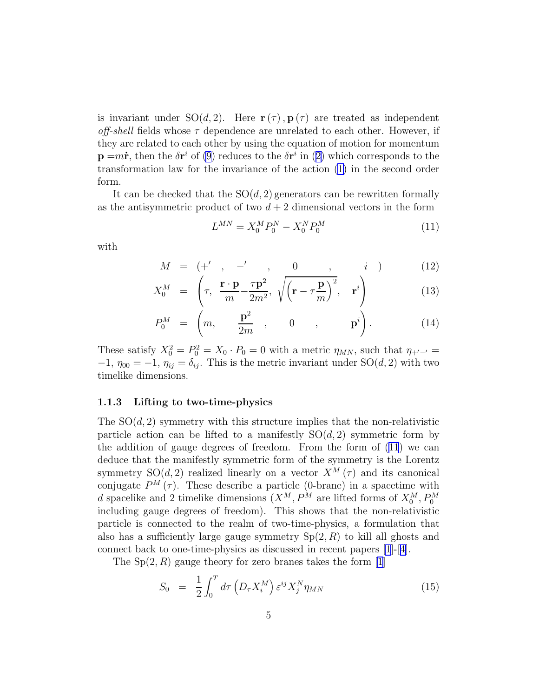<span id="page-4-0"></span>is invariant under  $SO(d,2)$ . Here  $\mathbf{r}(\tau)$ ,  $\mathbf{p}(\tau)$  are treated as independent off-shell fields whose  $\tau$  dependence are unrelated to each other. However, if they are related to each other by using the equation of motion for momentum  $\mathbf{p} = m\dot{\mathbf{r}}$  $\mathbf{p} = m\dot{\mathbf{r}}$  $\mathbf{p} = m\dot{\mathbf{r}}$ , then the  $\delta \mathbf{r}^i$  of [\(9](#page-3-0)) reduces to the  $\delta \mathbf{r}^i$  in ([2\)](#page-2-0) which corresponds to the transformation law for the invariance of the action([1\)](#page-1-0) in the second order form.

It can be checked that the  $SO(d, 2)$  generators can be rewritten formally as the antisymmetric product of two  $d + 2$  dimensional vectors in the form

$$
L^{MN} = X_0^M P_0^N - X_0^N P_0^M \tag{11}
$$

with

$$
M = \begin{pmatrix} +' & , & -' & , & 0 & , & i \end{pmatrix} \tag{12}
$$

$$
X_0^M = \left(\tau, \frac{\mathbf{r} \cdot \mathbf{p}}{m} - \frac{\tau \mathbf{p}^2}{2m^2}, \sqrt{\mathbf{r} - \tau \frac{\mathbf{p}}{m}}\right)^2, \mathbf{r}^i
$$
 (13)

$$
P_0^M = \left(m, \frac{\mathbf{p}^2}{2m}, 0, \mathbf{p}^i\right). \tag{14}
$$

These satisfy  $X_0^2 = P_0^2 = X_0 \cdot P_0 = 0$  with a metric  $\eta_{MN}$ , such that  $\eta_{+/-'} =$  $-1$ ,  $\eta_{00} = -1$ ,  $\eta_{ij} = \delta_{ij}$ . This is the metric invariant under SO(d, 2) with two timelike dimensions.

#### 1.1.3 Lifting to two-time-physics

The  $SO(d, 2)$  symmetry with this structure implies that the non-relativistic particle action can be lifted to a manifestly  $SO(d, 2)$  symmetric form by the addition of gauge degrees of freedom. From the form of (11) we can deduce that the manifestly symmetric form of the symmetry is the Lorentz symmetry  $SO(d, 2)$  realized linearly on a vector  $X^M(\tau)$  and its canonical conjugate  $P^{M}(\tau)$ . These describe a particle (0-brane) in a spacetime with d spacelike and 2 timelike dimensions  $(X^M, P^M$  are lifted forms of  $X_0^M, P_0^M$ including gauge degrees of freedom). This shows that the non-relativistic particle is connected to the realm of two-time-physics, a formulation that also has a sufficiently large gauge symmetry  $Sp(2, R)$  to kill all ghosts and connect back to one-time-physics as discussed in recent papers [\[1](#page-21-0)]-[[4\]](#page-21-0).

The  $Sp(2, R)$  gauge theory for zero branes takes the form [\[1](#page-21-0)]

$$
S_0 = \frac{1}{2} \int_0^T d\tau \left( D_\tau X_i^M \right) \varepsilon^{ij} X_j^N \eta_{MN} \tag{15}
$$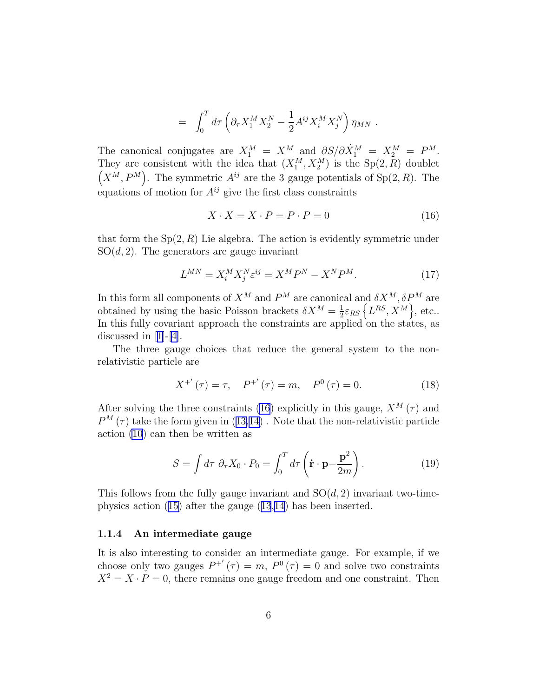$$
=\int_0^T d\tau \left(\partial_\tau X_1^M X_2^N - \frac{1}{2}A^{ij}X_i^M X_j^N\right)\eta_{MN} \ .
$$

<span id="page-5-0"></span>The canonical conjugates are  $X_1^M = X^M$  and  $\partial S / \partial \dot{X}_1^M = X_2^M = P^M$ . They are consistent with the idea that  $(X_1^M, X_2^M)$  is the  $Sp(2, R)$  doublet  $(X^M, P^M)$ . The symmetric  $A^{ij}$  are the 3 gauge potentials of  $Sp(2, R)$ . The equations of motion for  $A^{ij}$  give the first class constraints

$$
X \cdot X = X \cdot P = P \cdot P = 0 \tag{16}
$$

that form the  $Sp(2, R)$  Lie algebra. The action is evidently symmetric under  $SO(d, 2)$ . The generators are gauge invariant

$$
L^{MN} = X_i^M X_j^N \varepsilon^{ij} = X^M P^N - X^N P^M. \tag{17}
$$

In this form all components of  $X^M$  and  $P^M$  are canonical and  $\delta X^M, \delta P^M$  are obtained by using the basic Poisson brackets  $\delta X^M = \frac{1}{2}$  $\frac{1}{2}\varepsilon_{RS}\left\{L^{RS},X^M\right\},\,\text{etc.}.$ In this fully covariant approach the constraints are applied on the states, as discussed in[[1\]](#page-21-0)-[[4\]](#page-21-0).

The three gauge choices that reduce the general system to the nonrelativistic particle are

$$
X^{+'}(\tau) = \tau, \quad P^{+'}(\tau) = m, \quad P^{0}(\tau) = 0.
$$
 (18)

After solving the three constraints (16) explicitly in this gauge,  $X^M(\tau)$  and  $P^{M}(\tau)$ take the form given in ([13,14\)](#page-4-0). Note that the non-relativistic particle action [\(10](#page-3-0)) can then be written as

$$
S = \int d\tau \ \partial_{\tau} X_0 \cdot P_0 = \int_0^T d\tau \left( \dot{\mathbf{r}} \cdot \mathbf{p} - \frac{\mathbf{p}^2}{2m} \right).
$$
 (19)

This follows from the fully gauge invariant and  $SO(d, 2)$  invariant two-timephysics action [\(15\)](#page-4-0) after the gauge([13](#page-4-0),[14](#page-4-0)) has been inserted.

#### 1.1.4 An intermediate gauge

It is also interesting to consider an intermediate gauge. For example, if we choose only two gauges  $P^{+'}(\tau) = m$ ,  $P^{0}(\tau) = 0$  and solve two constraints  $X^2 = X \cdot P = 0$ , there remains one gauge freedom and one constraint. Then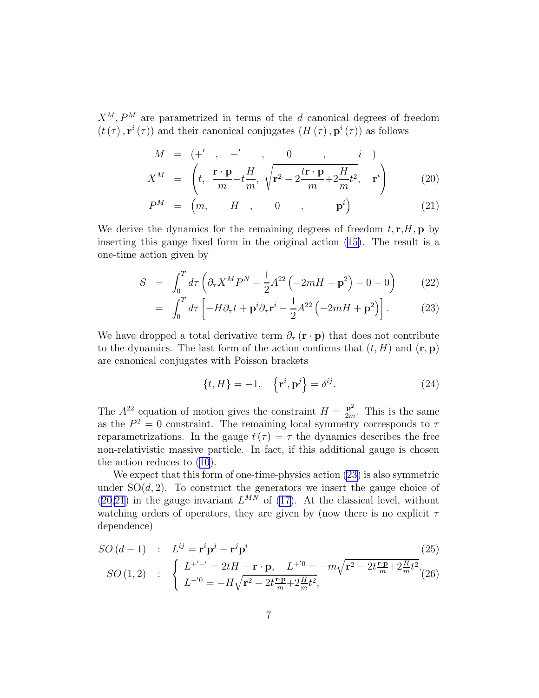<span id="page-6-0"></span> $X^M, P^M$  are parametrized in terms of the d canonical degrees of freedom  $(t(\tau), \mathbf{r}^i(\tau))$  and their canonical conjugates  $(H(\tau), \mathbf{p}^i(\tau))$  as follows

$$
M = (+', -', 0, \underline{n}, i)
$$
  

$$
X^M = \left(t, \frac{\mathbf{r} \cdot \mathbf{p}}{m} - t\frac{H}{m}, \sqrt{\mathbf{r}^2 - 2\frac{t\mathbf{r} \cdot \mathbf{p}}{m} + 2\frac{H}{m}t^2}, \mathbf{r}^i\right)
$$
(20)

$$
P^M = \begin{pmatrix} m, & H, & 0, & \mathbf{p}^i \end{pmatrix} \tag{21}
$$

We derive the dynamics for the remaining degrees of freedom  $t, r, H, p$  by inserting this gauge fixed form in the original action([15\)](#page-4-0). The result is a one-time action given by

$$
S = \int_0^T d\tau \left( \partial_\tau X^M P^N - \frac{1}{2} A^{22} \left( -2mH + \mathbf{p}^2 \right) - 0 - 0 \right) \tag{22}
$$

$$
= \int_0^T d\tau \left[ -H \partial_\tau t + \mathbf{p}^i \partial_\tau \mathbf{r}^i - \frac{1}{2} A^{22} \left( -2mH + \mathbf{p}^2 \right) \right]. \tag{23}
$$

We have dropped a total derivative term  $\partial_{\tau}$  (**r** · **p**) that does not contribute to the dynamics. The last form of the action confirms that  $(t, H)$  and  $(\mathbf{r}, \mathbf{p})$ are canonical conjugates with Poisson brackets

$$
\{t, H\} = -1, \quad \left\{\mathbf{r}^i, \mathbf{p}^j\right\} = \delta^{ij}.
$$
 (24)

The  $A^{22}$  equation of motion gives the constraint  $H = \frac{p^2}{2m}$  $\frac{\mathbf{p}^2}{2m}$ . This is the same as the  $P^2 = 0$  constraint. The remaining local symmetry corresponds to  $\tau$ reparametrizations. In the gauge  $t(\tau) = \tau$  the dynamics describes the free non-relativistic massive particle. In fact, if this additional gauge is chosen the action reduces to([10](#page-3-0)).

We expect that this form of one-time-physics action (23) is also symmetric under  $SO(d, 2)$ . To construct the generators we insert the gauge choice of  $(20,21)$  in the gauge invariant  $L^{MN}$  of [\(17\)](#page-5-0). At the classical level, without watching orders of operators, they are given by (now there is no explicit  $\tau$ dependence)

$$
SO(d-1) : L^{ij} = \mathbf{r}^i \mathbf{p}^j - \mathbf{r}^j \mathbf{p}^i
$$
\n
$$
SO(1,2) : \begin{cases} L^{+/-'} = 2tH - \mathbf{r} \cdot \mathbf{p}, L^{+/0} = -m\sqrt{\mathbf{r}^2 - 2t\frac{\mathbf{r} \cdot \mathbf{p}}{m} + 2\frac{H}{m}t^2}, \\ L^{-/0} = -H\sqrt{\mathbf{r}^2 - 2t\frac{\mathbf{r} \cdot \mathbf{p}}{m} + 2\frac{H}{m}t^2}, \end{cases}
$$
\n(25)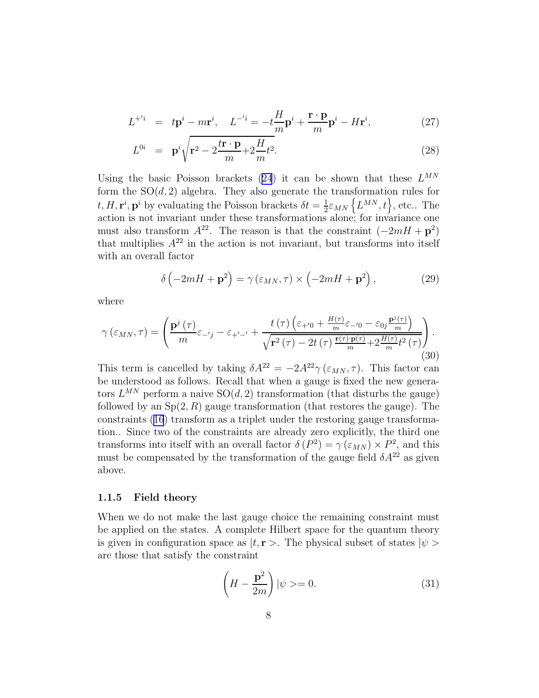$$
L^{+'i} = t\mathbf{p}^i - m\mathbf{r}^i, \quad L^{-'i} = -t\frac{H}{m}\mathbf{p}^i + \frac{\mathbf{r} \cdot \mathbf{p}}{m}\mathbf{p}^i - H\mathbf{r}^i,\tag{27}
$$

$$
L^{0i} = \mathbf{p}^i \sqrt{\mathbf{r}^2 - 2\frac{t\mathbf{r} \cdot \mathbf{p}}{m} + 2\frac{H}{m}t^2}.
$$
 (28)

Usingthe basic Poisson brackets ([24](#page-6-0)) it can be shown that these  $L^{MN}$ form the  $SO(d, 2)$  algebra. They also generate the transformation rules for  $t, H, \mathbf{r}^i, \mathbf{p}^i$  by evaluating the Poisson brackets  $\delta t = \frac{1}{2}$  $\frac{1}{2} \varepsilon_{MN} \left\{ L^{MN}, t \right\}$ , etc.. The action is not invariant under these transformations alone; for invariance one must also transform  $A^{22}$ . The reason is that the constraint  $(-2mH + p^2)$ that multiplies  $A^{22}$  in the action is not invariant, but transforms into itself with an overall factor

$$
\delta\left(-2mH + \mathbf{p}^2\right) = \gamma\left(\varepsilon_{MN}, \tau\right) \times \left(-2mH + \mathbf{p}^2\right),\tag{29}
$$

where

$$
\gamma\left(\varepsilon_{MN},\tau\right) = \left(\frac{\mathbf{p}^{j}\left(\tau\right)}{m}\varepsilon_{-j} - \varepsilon_{+j} - \mathbf{p} + \frac{t\left(\tau\right)\left(\varepsilon_{+j} - \frac{H\left(\tau\right)}{m}\varepsilon_{-j} - \varepsilon_{0j}\frac{\mathbf{p}^{j}\left(\tau\right)}{m}\right)}{\sqrt{\mathbf{r}^{2}\left(\tau\right) - 2t\left(\tau\right)\frac{\mathbf{r}\left(\tau\right)\cdot\mathbf{p}\left(\tau\right)}{m} + 2\frac{H\left(\tau\right)}{m}t^{2}\left(\tau\right)}}\right).
$$
\n(30)

This term is cancelled by taking  $\delta A^{22} = -2A^{22}\gamma(\epsilon_{MN}, \tau)$ . This factor can be understood as follows. Recall that when a gauge is fixed the new generators  $L^{MN}$  perform a naive  $SO(d, 2)$  transformation (that disturbs the gauge) followed by an  $Sp(2, R)$  gauge transformation (that restores the gauge). The constraints([16](#page-5-0)) transform as a triplet under the restoring gauge transformation.. Since two of the constraints are already zero explicitly, the third one transforms into itself with an overall factor  $\delta(P^2) = \gamma(\varepsilon_{MN}) \times P^2$ , and this must be compensated by the transformation of the gauge field  $\delta A^{22}$  as given above.

#### 1.1.5 Field theory

When we do not make the last gauge choice the remaining constraint must be applied on the states. A complete Hilbert space for the quantum theory is given in configuration space as  $|t, r \rangle$ . The physical subset of states  $|\psi \rangle$ are those that satisfy the constraint

$$
\left(H - \frac{\mathbf{p}^2}{2m}\right)|\psi\rangle = 0.
$$
\n(31)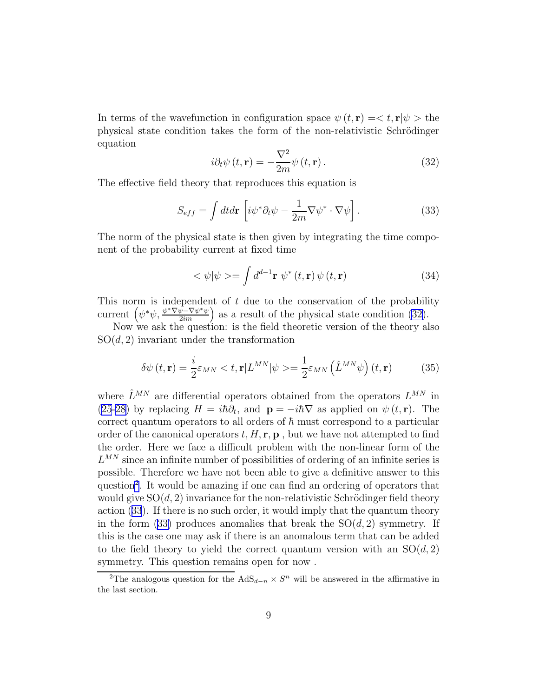In terms of the wavefunction in configuration space  $\psi(t, \mathbf{r}) = \langle t, \mathbf{r} | \psi \rangle$  the physical state condition takes the form of the non-relativistic Schrödinger equation

$$
i\partial_t \psi(t, \mathbf{r}) = -\frac{\nabla^2}{2m} \psi(t, \mathbf{r}).
$$
\n(32)

The effective field theory that reproduces this equation is

$$
S_{eff} = \int dt d\mathbf{r} \left[ i\psi^* \partial_t \psi - \frac{1}{2m} \nabla \psi^* \cdot \nabla \psi \right]. \tag{33}
$$

The norm of the physical state is then given by integrating the time component of the probability current at fixed time

$$
\langle \psi | \psi \rangle = \int d^{d-1} \mathbf{r} \psi^* (t, \mathbf{r}) \psi (t, \mathbf{r}) \tag{34}
$$

This norm is independent of  $t$  due to the conservation of the probability current  $(\psi^*\psi, \frac{\psi^*\nabla\psi^-\nabla\psi^*\psi}{2im})$  as a result of the physical state condition (32).

Now we ask the question: is the field theoretic version of the theory also  $SO(d, 2)$  invariant under the transformation

$$
\delta\psi(t,\mathbf{r}) = \frac{i}{2}\varepsilon_{MN} < t, \mathbf{r}|L^{MN}|\psi\rangle = \frac{1}{2}\varepsilon_{MN} \left(\hat{L}^{MN}\psi\right)(t,\mathbf{r}) \tag{35}
$$

where  $\hat{L}^{MN}$  are differential operators obtained from the operators  $L^{MN}$  in [\(25-28\)](#page-6-0) by replacing  $H = i\hbar \partial_t$ , and  $\mathbf{p} = -i\hbar \nabla$  as applied on  $\psi(t, \mathbf{r})$ . The correct quantum operators to all orders of  $\hbar$  must correspond to a particular order of the canonical operators  $t, H, r, p$ , but we have not attempted to find the order. Here we face a difficult problem with the non-linear form of the  $L^{MN}$  since an infinite number of possibilities of ordering of an infinite series is possible. Therefore we have not been able to give a definitive answer to this question<sup>2</sup>. It would be amazing if one can find an ordering of operators that would give  $SO(d, 2)$  invariance for the non-relativistic Schrödinger field theory action (33). If there is no such order, it would imply that the quantum theory in the form (33) produces anomalies that break the  $SO(d, 2)$  symmetry. If this is the case one may ask if there is an anomalous term that can be added to the field theory to yield the correct quantum version with an  $SO(d,2)$ symmetry. This question remains open for now .

<sup>&</sup>lt;sup>2</sup>The analogous question for the AdS<sub>d−n</sub>  $\times S<sup>n</sup>$  will be answered in the affirmative in the last section.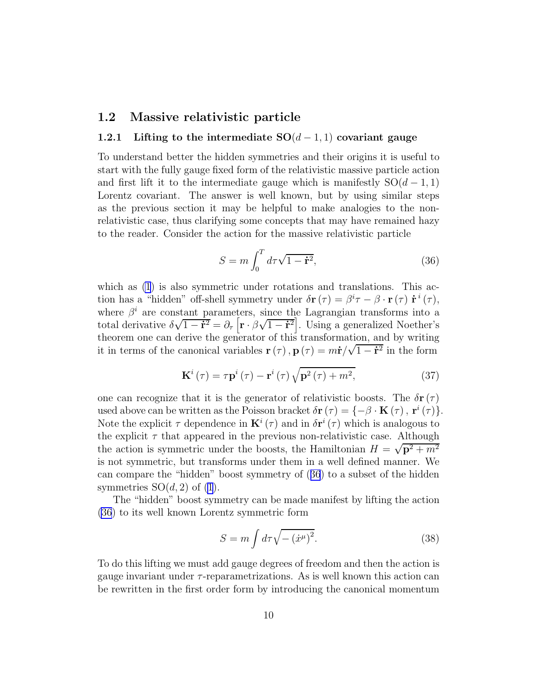#### <span id="page-9-0"></span>1.2 Massive relativistic particle

#### 1.2.1 Lifting to the intermediate  $SO(d-1,1)$  covariant gauge

To understand better the hidden symmetries and their origins it is useful to start with the fully gauge fixed form of the relativistic massive particle action and first lift it to the intermediate gauge which is manifestly  $SO(d-1,1)$ Lorentz covariant. The answer is well known, but by using similar steps as the previous section it may be helpful to make analogies to the nonrelativistic case, thus clarifying some concepts that may have remained hazy to the reader. Consider the action for the massive relativistic particle

$$
S = m \int_0^T d\tau \sqrt{1 - \dot{\mathbf{r}}^2},\tag{36}
$$

which as  $(1)$  is also symmetric under rotations and translations. This action has a "hidden" off-shell symmetry under  $\delta \mathbf{r}(\tau) = \beta^i \tau - \beta \cdot \mathbf{r}(\tau) \dot{\mathbf{r}}^i(\tau)$ , where  $\beta^i$  are constant parameters, since the Lagrangian transforms into a total derivative  $\delta\sqrt{1-\dot{\mathbf{r}}^2} = \partial_\tau \left[\mathbf{r} \cdot \beta \sqrt{1-\dot{\mathbf{r}}^2}\right]$ . Using a generalized Noether's theorem one can derive the generator of this transformation, and by writing it in terms of the canonical variables  $\mathbf{r}(\tau)$ ,  $\mathbf{p}(\tau) = m\dot{\mathbf{r}}/\sqrt{1-\dot{\mathbf{r}}^2}$  in the form

$$
\mathbf{K}^{i}\left(\tau\right) = \tau \mathbf{p}^{i}\left(\tau\right) - \mathbf{r}^{i}\left(\tau\right) \sqrt{\mathbf{p}^{2}\left(\tau\right) + m^{2}},\tag{37}
$$

one can recognize that it is the generator of relativistic boosts. The  $\delta \mathbf{r}(\tau)$ used above can be written as the Poisson bracket  $\delta \mathbf{r}(\tau) = \{-\beta \cdot \mathbf{K}(\tau), \mathbf{r}^i(\tau)\}.$ Note the explicit  $\tau$  dependence in  $\mathbf{K}^{i}(\tau)$  and in  $\delta \mathbf{r}^{i}(\tau)$  which is analogous to the explicit  $\tau$  that appeared in the previous non-relativistic case. Although the action is symmetric under the boosts, the Hamiltonian  $H = \sqrt{p^2 + m^2}$ is not symmetric, but transforms under them in a well defined manner. We can compare the "hidden" boost symmetry of (36) to a subset of the hidden symmetries  $SO(d, 2)$  of [\(1](#page-1-0)).

The "hidden" boost symmetry can be made manifest by lifting the action (36) to its well known Lorentz symmetric form

$$
S = m \int d\tau \sqrt{-\left(\dot{x}^{\mu}\right)^{2}}.
$$
 (38)

To do this lifting we must add gauge degrees of freedom and then the action is gauge invariant under  $\tau$ -reparametrizations. As is well known this action can be rewritten in the first order form by introducing the canonical momentum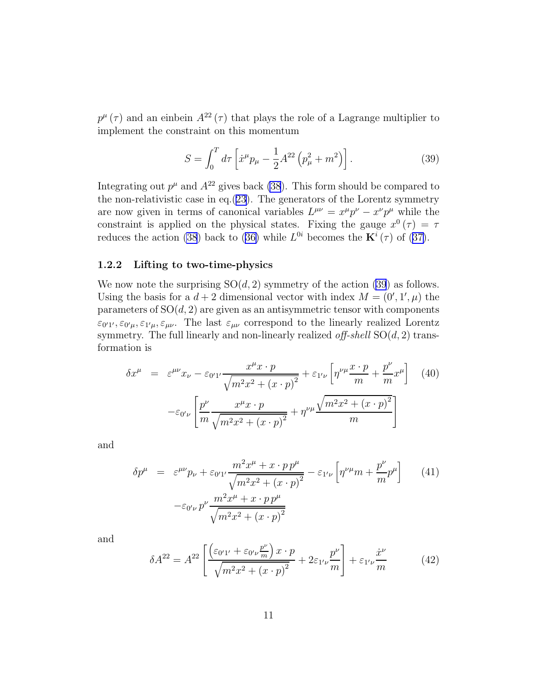<span id="page-10-0"></span> $p^{\mu}(\tau)$  and an einbein  $A^{22}(\tau)$  that plays the role of a Lagrange multiplier to implement the constraint on this momentum

$$
S = \int_0^T d\tau \left[ \dot{x}^\mu p_\mu - \frac{1}{2} A^{22} \left( p_\mu^2 + m^2 \right) \right]. \tag{39}
$$

Integrating out  $p^{\mu}$  and  $A^{22}$  gives back [\(38](#page-9-0)). This form should be compared to the non-relativistic case in eq.[\(23\)](#page-6-0). The generators of the Lorentz symmetry are now given in terms of canonical variables  $L^{\mu\nu} = x^{\mu}p^{\nu} - x^{\nu}p^{\mu}$  while the constraint is applied on the physical states. Fixing the gauge  $x^0(\tau) = \tau$ reduces the action [\(38](#page-9-0))back to ([36\)](#page-9-0) while  $L^{0i}$  becomes the  $\mathbf{K}^{i}(\tau)$  of ([37\)](#page-9-0).

#### 1.2.2 Lifting to two-time-physics

We now note the surprising  $SO(d, 2)$  symmetry of the action (39) as follows. Using the basis for a  $d+2$  dimensional vector with index  $M = (0', 1', \mu)$  the parameters of  $SO(d, 2)$  are given as an antisymmetric tensor with components  $\varepsilon_{0'1'}$ ,  $\varepsilon_{0'\mu}$ ,  $\varepsilon_{1'\mu}$ ,  $\varepsilon_{\mu\nu}$ . The last  $\varepsilon_{\mu\nu}$  correspond to the linearly realized Lorentz symmetry. The full linearly and non-linearly realized off-shell  $SO(d, 2)$  transformation is

$$
\delta x^{\mu} = \varepsilon^{\mu\nu} x_{\nu} - \varepsilon_{0'1'} \frac{x^{\mu} x \cdot p}{\sqrt{m^2 x^2 + (x \cdot p)^2}} + \varepsilon_{1'\nu} \left[ \eta^{\nu\mu} \frac{x \cdot p}{m} + \frac{p^{\nu}}{m} x^{\mu} \right] \tag{40}
$$

$$
- \varepsilon_{0'\nu} \left[ \frac{p^{\nu}}{m} \frac{x^{\mu} x \cdot p}{\sqrt{m^2 x^2 + (x \cdot p)^2}} + \eta^{\nu\mu} \frac{\sqrt{m^2 x^2 + (x \cdot p)^2}}{m} \right]
$$

and

$$
\delta p^{\mu} = \varepsilon^{\mu\nu} p_{\nu} + \varepsilon_{0'1'} \frac{m^2 x^{\mu} + x \cdot p p^{\mu}}{\sqrt{m^2 x^2 + (x \cdot p)^2}} - \varepsilon_{1'\nu} \left[ \eta^{\nu\mu} m + \frac{p^{\nu}}{m} p^{\mu} \right]
$$
(41)  

$$
-\varepsilon_{0'\nu} p^{\nu} \frac{m^2 x^{\mu} + x \cdot p p^{\mu}}{\sqrt{m^2 x^2 + (x \cdot p)^2}}
$$

and

$$
\delta A^{22} = A^{22} \left[ \frac{\left(\varepsilon_{0'1'} + \varepsilon_{0'\nu} \frac{p^{\nu}}{m}\right) x \cdot p}{\sqrt{m^2 x^2 + \left(x \cdot p\right)^2}} + 2\varepsilon_{1'\nu} \frac{p^{\nu}}{m} \right] + \varepsilon_{1'\nu} \frac{\dot{x}^{\nu}}{m} \tag{42}
$$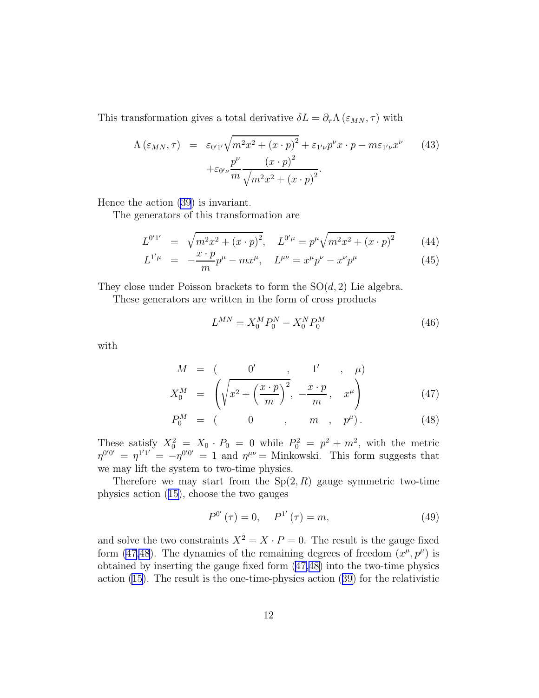This transformation gives a total derivative  $\delta L = \partial_{\tau} \Lambda (\varepsilon_{MN}, \tau)$  with

$$
\Lambda(\varepsilon_{MN}, \tau) = \varepsilon_{0'1'} \sqrt{m^2 x^2 + (x \cdot p)^2} + \varepsilon_{1'\nu} p^{\nu} x \cdot p - m\varepsilon_{1'\nu} x^{\nu}
$$
(43)  
 
$$
+ \varepsilon_{0'\nu} \frac{p^{\nu}}{m} \frac{(x \cdot p)^2}{\sqrt{m^2 x^2 + (x \cdot p)^2}}.
$$

Hence the action [\(39](#page-10-0)) is invariant.

The generators of this transformation are

$$
L^{0'1'} = \sqrt{m^2 x^2 + (x \cdot p)^2}, \quad L^{0'\mu} = p^\mu \sqrt{m^2 x^2 + (x \cdot p)^2} \tag{44}
$$

$$
L^{1'\mu} = -\frac{x \cdot p}{m}p^{\mu} - mx^{\mu}, \quad L^{\mu\nu} = x^{\mu}p^{\nu} - x^{\nu}p^{\mu}
$$
 (45)

They close under Poisson brackets to form the  $SO(d, 2)$  Lie algebra.

These generators are written in the form of cross products

$$
L^{MN} = X_0^M P_0^N - X_0^N P_0^M \tag{46}
$$

with

$$
M = \begin{pmatrix} 0' & , & 1' & , \mu \end{pmatrix}
$$

$$
X_0^M = \left( \sqrt{x^2 + \left( \frac{x \cdot p}{m} \right)^2}, -\frac{x \cdot p}{m}, x^{\mu} \right)
$$
(47)

$$
P_0^M = (0 \t 0 \t , m \t , p^{\mu}). \t (48)
$$

These satisfy  $X_0^2 = X_0 \cdot P_0 = 0$  while  $P_0^2 = p^2 + m^2$ , with the metric  $\eta^{0'0'} = \eta^{1'1'} = -\eta^{0'0'} = 1$  and  $\eta^{\mu\nu} =$  Minkowski. This form suggests that we may lift the system to two-time physics.

Therefore we may start from the  $Sp(2, R)$  gauge symmetric two-time physics action [\(15\)](#page-4-0), choose the two gauges

$$
P^{0'}(\tau) = 0, \quad P^{1'}(\tau) = m,
$$
\n(49)

and solve the two constraints  $X^2 = X \cdot P = 0$ . The result is the gauge fixed form (47,48). The dynamics of the remaining degrees of freedom  $(x^{\mu}, p^{\mu})$  is obtained by inserting the gauge fixed form (47,48) into the two-time physics action [\(15\)](#page-4-0). The result is the one-time-physics action([39\)](#page-10-0) for the relativistic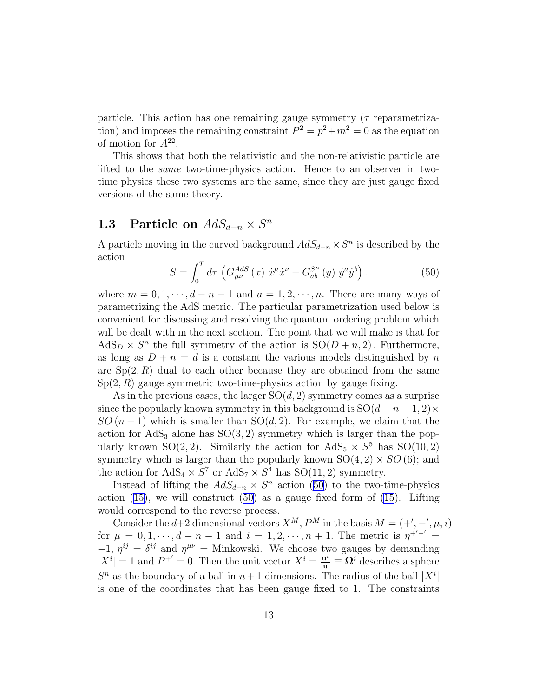particle. This action has one remaining gauge symmetry ( $\tau$  reparametrization) and imposes the remaining constraint  $P^2 = p^2 + m^2 = 0$  as the equation of motion for  $A^{22}$ .

This shows that both the relativistic and the non-relativistic particle are lifted to the same two-time-physics action. Hence to an observer in twotime physics these two systems are the same, since they are just gauge fixed versions of the same theory.

# 1.3 Particle on  $AdS_{d-n}\times S^n$

A particle moving in the curved background  $AdS_{d-n} \times S^n$  is described by the action

$$
S = \int_0^T d\tau \, \left( G_{\mu\nu}^{AdS} \left( x \right) \, \dot{x}^{\mu} \dot{x}^{\nu} + G_{ab}^{S^n} \left( y \right) \, \dot{y}^a \dot{y}^b \right). \tag{50}
$$

where  $m = 0, 1, \dots, d - n - 1$  and  $a = 1, 2, \dots, n$ . There are many ways of parametrizing the AdS metric. The particular parametrization used below is convenient for discussing and resolving the quantum ordering problem which will be dealt with in the next section. The point that we will make is that for  $\text{AdS}_D \times S^n$  the full symmetry of the action is  $\text{SO}(D+n, 2)$ . Furthermore, as long as  $D + n = d$  is a constant the various models distinguished by n are  $Sp(2, R)$  dual to each other because they are obtained from the same  $Sp(2, R)$  gauge symmetric two-time-physics action by gauge fixing.

As in the previous cases, the larger  $SO(d, 2)$  symmetry comes as a surprise since the popularly known symmetry in this background is  $SO(d - n - 1, 2) \times$  $SO(n+1)$  which is smaller than  $SO(d,2)$ . For example, we claim that the action for  $AdS_3$  alone has  $SO(3, 2)$  symmetry which is larger than the popularly known SO(2, 2). Similarly the action for  $AdS_5 \times S^5$  has SO(10, 2) symmetry which is larger than the popularly known  $SO(4, 2) \times SO(6)$ ; and the action for  $AdS_4 \times S^7$  or  $AdS_7 \times S^4$  has  $SO(11, 2)$  symmetry.

Instead of lifting the  $AdS_{d-n} \times S^n$  action (50) to the two-time-physics action $(15)$  $(15)$ , we will construct  $(50)$  as a gauge fixed form of  $(15)$ . Lifting would correspond to the reverse process.

Consider the d+2 dimensional vectors  $X^M$ ,  $P^M$  in the basis  $M = (+', -', \mu, i)$ for  $\mu = 0, 1, \dots, d - n - 1$  and  $i = 1, 2, \dots, n + 1$ . The metric is  $\eta^{+/-'} =$  $-1, \eta^{ij} = \delta^{ij}$  and  $\eta^{\mu\nu} =$  Minkowski. We choose two gauges by demanding  $|X^{i}| = 1$  and  $P^{+'} = 0$ . Then the unit vector  $X^{i} = \frac{\mathbf{u}^{i}}{|\mathbf{u}|} = \Omega^{i}$  describes a sphere  $S<sup>n</sup>$  as the boundary of a ball in  $n+1$  dimensions. The radius of the ball  $|X<sup>i</sup>|$ is one of the coordinates that has been gauge fixed to 1. The constraints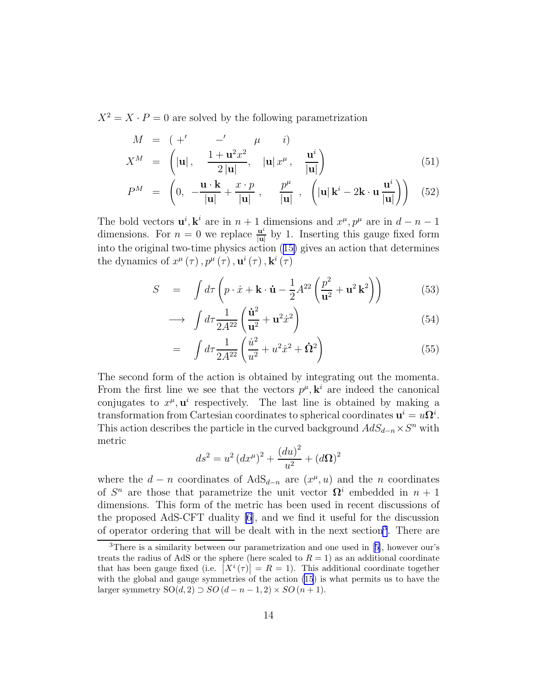<span id="page-13-0"></span> $X^2 = X \cdot P = 0$  are solved by the following parametrization

$$
M = \begin{pmatrix} +' & -' & \mu & i \end{pmatrix}
$$
  
\n
$$
X^{M} = \begin{pmatrix} |\mathbf{u}|, & \frac{1+\mathbf{u}^{2}x^{2}}{2|\mathbf{u}|}, & |\mathbf{u}|x^{\mu}, & \frac{\mathbf{u}^{i}}{|\mathbf{u}|} \end{pmatrix}
$$
\n(51)

$$
P^{M} = \left(0, -\frac{\mathbf{u} \cdot \mathbf{k}}{|\mathbf{u}|} + \frac{x \cdot p}{|\mathbf{u}|} , -\frac{p^{\mu}}{|\mathbf{u}|} , \left(|\mathbf{u}| \mathbf{k}^{i} - 2\mathbf{k} \cdot \mathbf{u} \frac{\mathbf{u}^{i}}{|\mathbf{u}|}\right) \right) (52)
$$

The bold vectors  $\mathbf{u}^i$ ,  $\mathbf{k}^i$  are in  $n+1$  dimensions and  $x^{\mu}$ ,  $p^{\mu}$  are in  $d-n-1$ dimensions. For  $n = 0$  we replace  $\frac{u^i}{|u|}$  $\frac{u}{|u|}$  by 1. Inserting this gauge fixed form into the original two-time physics action([15\)](#page-4-0) gives an action that determines the dynamics of  $x^{\mu}(\tau)$ ,  $p^{\mu}(\tau)$ ,  $\mathbf{u}^{i}(\tau)$ ,  $\mathbf{k}^{i}(\tau)$ 

$$
S = \int d\tau \left( p \cdot \dot{x} + \mathbf{k} \cdot \dot{\mathbf{u}} - \frac{1}{2} A^{22} \left( \frac{p^2}{\mathbf{u}^2} + \mathbf{u}^2 \mathbf{k}^2 \right) \right) \tag{53}
$$

$$
\longrightarrow \int d\tau \frac{1}{2A^{22}} \left( \frac{\dot{\mathbf{u}}^2}{\mathbf{u}^2} + \mathbf{u}^2 \dot{x}^2 \right) \tag{54}
$$

$$
= \int d\tau \frac{1}{2A^{22}} \left( \frac{\dot{u}^2}{u^2} + u^2 \dot{x}^2 + \dot{\Omega}^2 \right) \tag{55}
$$

The second form of the action is obtained by integrating out the momenta. From the first line we see that the vectors  $p^{\mu}, \mathbf{k}^{i}$  are indeed the canonical conjugates to  $x^{\mu}$ ,  $\mathbf{u}^{i}$  respectively. The last line is obtained by making a transformation from Cartesian coordinates to spherical coordinates  $\mathbf{u}^i = u\mathbf{\Omega}^i$ . This action describes the particle in the curved background  $AdS_{d-n} \times S^n$  with metric

$$
ds^{2} = u^{2} (dx^{\mu})^{2} + \frac{(du)^{2}}{u^{2}} + (d\Omega)^{2}
$$

where the  $d - n$  coordinates of  $AdS_{d-n}$  are  $(x^{\mu}, u)$  and the n coordinates of  $S<sup>n</sup>$  are those that parametrize the unit vector  $\Omega<sup>i</sup>$  embedded in  $n+1$ dimensions. This form of the metric has been used in recent discussions of the proposed AdS-CFT duality [\[6](#page-22-0)], and we find it useful for the discussion of operator ordering that will be dealt with in the next section<sup>3</sup>. There are

<sup>3</sup>There is a similarity between our parametrization and one used in[[5\]](#page-22-0), however our's treats the radius of AdS or the sphere (here scaled to  $R = 1$ ) as an additional coordinate that has been gauge fixed (i.e.  $|X^i(\tau)| = R = 1$ ). This additional coordinate together with the global and gauge symmetries of the action [\(15](#page-4-0)) is what permits us to have the larger symmetry  $SO(d, 2) \supset SO(d - n - 1, 2) \times SO(n + 1)$ .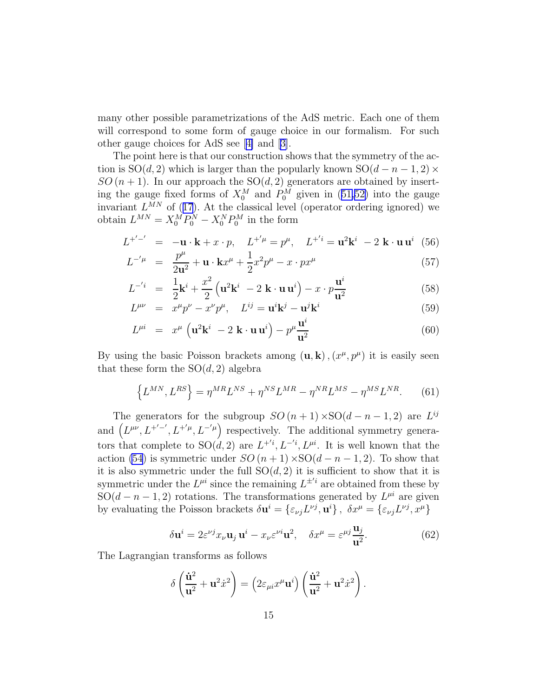<span id="page-14-0"></span>many other possible parametrizations of the AdS metric. Each one of them will correspond to some form of gauge choice in our formalism. For such other gauge choices for AdS see[[4\]](#page-21-0) and[[3\]](#page-21-0).

The point here is that our construction shows that the symmetry of the action is  $SO(d, 2)$  which is larger than the popularly known  $SO(d - n - 1, 2) \times$  $SO(n + 1)$ . In our approach the  $SO(d, 2)$  generators are obtained by insertingthe gauge fixed forms of  $X_0^M$  and  $P_0^M$  given in ([51,52\)](#page-13-0) into the gauge invariant $L^{MN}$  of ([17](#page-5-0)). At the classical level (operator ordering ignored) we obtain  $L^{MN} = X_0^M P_0^N - X_0^N P_0^M$  in the form

$$
L^{+'-'} = -\mathbf{u} \cdot \mathbf{k} + x \cdot p, \quad L^{+' \mu} = p^{\mu}, \quad L^{+'i} = \mathbf{u}^2 \mathbf{k}^i - 2 \mathbf{k} \cdot \mathbf{u} \mathbf{u}^i \tag{56}
$$

$$
L^{-'\mu} = \frac{p^{\mu}}{2u^2} + u \cdot kx^{\mu} + \frac{1}{2}x^2p^{\mu} - x \cdot px^{\mu}
$$
 (57)

$$
L^{-i} = \frac{1}{2}\mathbf{k}^{i} + \frac{x^{2}}{2}\left(\mathbf{u}^{2}\mathbf{k}^{i} - 2 \mathbf{k} \cdot \mathbf{u}\mathbf{u}^{i}\right) - x \cdot p\frac{\mathbf{u}^{i}}{\mathbf{u}^{2}}
$$
(58)

$$
L^{\mu\nu} = \overline{x}^{\mu}p^{\nu} - \overline{x}^{\nu}p^{\mu}, \quad L^{ij} = \mathbf{u}^{i}\mathbf{k}^{j} - \mathbf{u}^{j}\mathbf{k}^{i}
$$
 (59)

$$
L^{\mu i} = x^{\mu} \left( \mathbf{u}^{2} \mathbf{k}^{i} - 2 \mathbf{k} \cdot \mathbf{u} \mathbf{u}^{i} \right) - p^{\mu} \frac{\mathbf{u}^{i}}{\mathbf{u}^{2}}
$$
(60)

By using the basic Poisson brackets among  $(\mathbf{u}, \mathbf{k})$ ,  $(x^{\mu}, p^{\mu})$  it is easily seen that these form the  $SO(d, 2)$  algebra

$$
\left\{L^{MN}, L^{RS}\right\} = \eta^{MR}L^{NS} + \eta^{NS}L^{MR} - \eta^{NR}L^{MS} - \eta^{MS}L^{NR}.\tag{61}
$$

The generators for the subgroup  $SO(n+1) \times SO(d-n-1, 2)$  are  $L^{ij}$ and  $(L^{\mu\nu}, L^{+/-'}, L^{+'\mu}, L^{-'\mu})$  respectively. The additional symmetry generators that complete to  $SO(d, 2)$  are  $L^{+'i}, L^{-'i}, L^{\mu i}$ . It is well known that the action [\(54](#page-13-0)) is symmetric under  $SO(n + 1) \times SO(d - n - 1, 2)$ . To show that it is also symmetric under the full  $SO(d, 2)$  it is sufficient to show that it is symmetric under the  $L^{\mu i}$  since the remaining  $L^{\pm i}$  are obtained from these by SO( $d - n - 1, 2$ ) rotations. The transformations generated by  $L^{\mu i}$  are given by evaluating the Poisson brackets  $\delta \mathbf{u}^i = \{\varepsilon_{\nu j} L^{\nu j}, \mathbf{u}^i\}, \ \delta x^\mu = \{\varepsilon_{\nu j} L^{\nu j}, x^\mu\}$ 

$$
\delta \mathbf{u}^{i} = 2\varepsilon^{\nu j} x_{\nu} \mathbf{u}_{j} \mathbf{u}^{i} - x_{\nu} \varepsilon^{\nu i} \mathbf{u}^{2}, \quad \delta x^{\mu} = \varepsilon^{\mu j} \frac{\mathbf{u}_{j}}{\mathbf{u}^{2}}.
$$
 (62)

The Lagrangian transforms as follows

$$
\delta\left(\frac{\dot{\mathbf{u}}^2}{\mathbf{u}^2} + \mathbf{u}^2 \dot{x}^2\right) = \left(2\varepsilon_{\mu i}x^{\mu}\mathbf{u}^i\right)\left(\frac{\dot{\mathbf{u}}^2}{\mathbf{u}^2} + \mathbf{u}^2 \dot{x}^2\right).
$$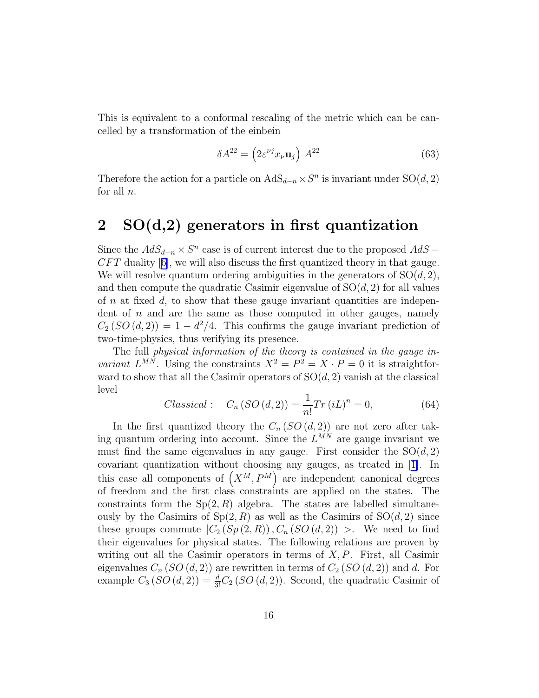This is equivalent to a conformal rescaling of the metric which can be cancelled by a transformation of the einbein

$$
\delta A^{22} = \left(2\varepsilon^{\nu j} x_{\nu} \mathbf{u}_j\right) A^{22} \tag{63}
$$

Therefore the action for a particle on  $AdS_{d-n} \times S^n$  is invariant under  $SO(d, 2)$ for all  $n$ .

## 2 SO(d,2) generators in first quantization

Since the  $AdS_{d-n} \times S^n$  case is of current interest due to the proposed  $AdS CFT$  duality  $[6]$ , we will also discuss the first quantized theory in that gauge. We will resolve quantum ordering ambiguities in the generators of  $SO(d, 2)$ , and then compute the quadratic Casimir eigenvalue of  $SO(d, 2)$  for all values of n at fixed d, to show that these gauge invariant quantities are independent of  $n$  and are the same as those computed in other gauges, namely  $C_2(SO(d, 2)) = 1 - d^2/4$ . This confirms the gauge invariant prediction of two-time-physics, thus verifying its presence.

The full physical information of the theory is contained in the gauge invariant  $L^{MN}$ . Using the constraints  $X^2 = P^2 = X \cdot P = 0$  it is straightforward to show that all the Casimir operators of  $SO(d, 2)$  vanish at the classical level

$$
Classical: \quad C_n(SO(d,2)) = \frac{1}{n!} Tr(iL)^n = 0,
$$
\n(64)

In the first quantized theory the  $C_n(SO(d, 2))$  are not zero after taking quantum ordering into account. Since the  $L^{MN}$  are gauge invariant we must find the same eigenvalues in any gauge. First consider the  $SO(d, 2)$ covariant quantization without choosing any gauges, as treated in [\[1\]](#page-21-0). In this case all components of  $(X^M, P^M)$  are independent canonical degrees of freedom and the first class constraints are applied on the states. The constraints form the  $Sp(2, R)$  algebra. The states are labelled simultaneously by the Casimirs of  $Sp(2, R)$  as well as the Casimirs of  $SO(d, 2)$  since these groups commute  $|C_2(Sp(2,R)), C_n(SO(d,2))|$ . We need to find their eigenvalues for physical states. The following relations are proven by writing out all the Casimir operators in terms of  $X, P$ . First, all Casimir eigenvalues  $C_n(SO(d, 2))$  are rewritten in terms of  $C_2(SO(d, 2))$  and d. For example  $C_3(SO(d, 2)) = \frac{d}{3!}C_2(SO(d, 2))$ . Second, the quadratic Casimir of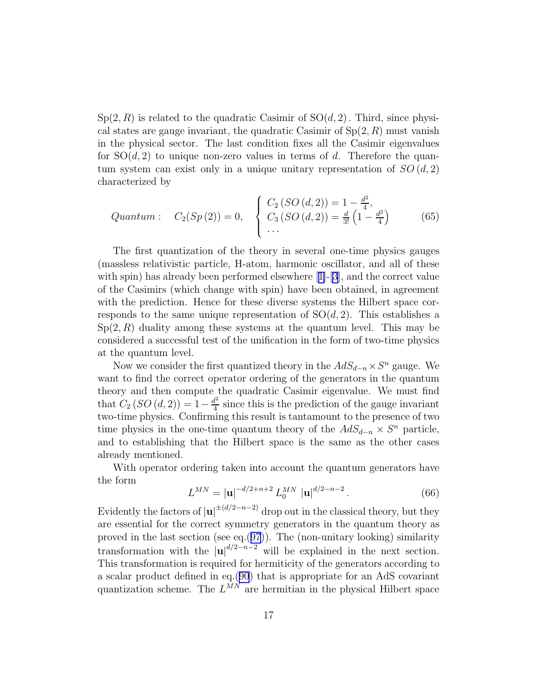<span id="page-16-0"></span> $Sp(2, R)$  is related to the quadratic Casimir of  $SO(d, 2)$ . Third, since physical states are gauge invariant, the quadratic Casimir of  $Sp(2, R)$  must vanish in the physical sector. The last condition fixes all the Casimir eigenvalues for  $SO(d, 2)$  to unique non-zero values in terms of d. Therefore the quantum system can exist only in a unique unitary representation of  $SO(d,2)$ characterized by

$$
Quantum: C_2(Sp(2)) = 0, \quad \begin{cases} C_2(SO(d,2)) = 1 - \frac{d^2}{4}, \\ C_3(SO(d,2)) = \frac{d}{3!} \left(1 - \frac{d^2}{4}\right) \\ \cdots \end{cases} (65)
$$

The first quantization of the theory in several one-time physics gauges (massless relativistic particle, H-atom, harmonic oscillator, and all of these withspin) has already been performed elsewhere  $[1]-[3]$  $[1]-[3]$  $[1]-[3]$  $[1]-[3]$ , and the correct value of the Casimirs (which change with spin) have been obtained, in agreement with the prediction. Hence for these diverse systems the Hilbert space corresponds to the same unique representation of  $SO(d, 2)$ . This establishes a  $Sp(2, R)$  duality among these systems at the quantum level. This may be considered a successful test of the unification in the form of two-time physics at the quantum level.

Now we consider the first quantized theory in the  $AdS_{d-n} \times S^n$  gauge. We want to find the correct operator ordering of the generators in the quantum theory and then compute the quadratic Casimir eigenvalue. We must find that  $C_2(SO(d,2)) = 1 - \frac{d^2}{4}$  $\frac{t^2}{4}$  since this is the prediction of the gauge invariant two-time physics. Confirming this result is tantamount to the presence of two time physics in the one-time quantum theory of the  $AdS_{d-n} \times S^n$  particle, and to establishing that the Hilbert space is the same as the other cases already mentioned.

With operator ordering taken into account the quantum generators have the form

$$
L^{MN} = |\mathbf{u}|^{-d/2 + n + 2} L_0^{MN} |\mathbf{u}|^{d/2 - n - 2}.
$$
 (66)

Evidently the factors of  $|\mathbf{u}|^{\pm(d/2-n-2)}$  drop out in the classical theory, but they are essential for the correct symmetry generators in the quantum theory as proved in the last section (see eq.([97](#page-21-0))). The (non-unitary looking) similarity transformation with the  $|u|^{d/2-n-2}$  will be explained in the next section. This transformation is required for hermiticity of the generators according to a scalar product defined in eq.([90](#page-19-0)) that is appropriate for an AdS covariant quantization scheme. The  $L^{MN}$  are hermitian in the physical Hilbert space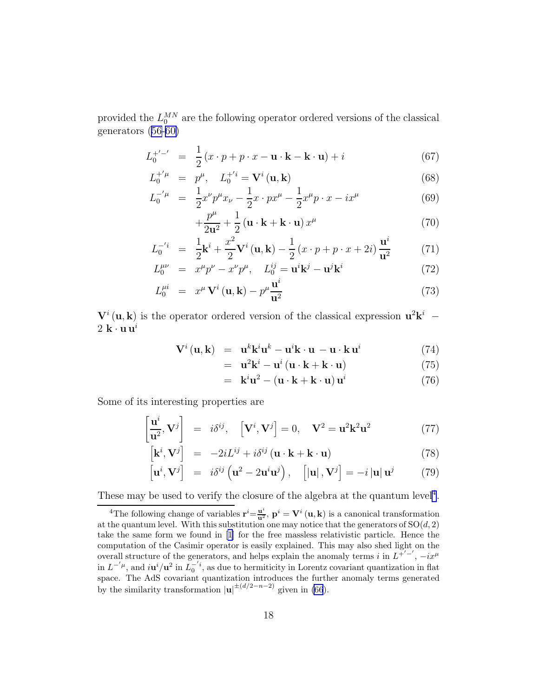<span id="page-17-0"></span>provided the  $L_0^{MN}$  are the following operator ordered versions of the classical generators [\(56-60\)](#page-14-0)

$$
L_0^{+'-'} = \frac{1}{2}(x \cdot p + p \cdot x - \mathbf{u} \cdot \mathbf{k} - \mathbf{k} \cdot \mathbf{u}) + i
$$
 (67)

$$
L_0^{+'\mu} = p^{\mu}, \quad L_0^{+'} = \mathbf{V}^i(\mathbf{u}, \mathbf{k}) \tag{68}
$$

$$
L_0^{-'\mu} = \frac{1}{2}x^{\nu}p^{\mu}x_{\nu} - \frac{1}{2}x \cdot px^{\mu} - \frac{1}{2}x^{\mu}p \cdot x - ix^{\mu}
$$
 (69)

$$
+\frac{p^{\mu}}{2\mathbf{u}^{2}} + \frac{1}{2} \left( \mathbf{u} \cdot \mathbf{k} + \mathbf{k} \cdot \mathbf{u} \right) x^{\mu}
$$
 (70)

$$
L_0^{-i} = \frac{1}{2} \mathbf{k}^i + \frac{x^2}{2} \mathbf{V}^i \left( \mathbf{u}, \mathbf{k} \right) - \frac{1}{2} \left( x \cdot p + p \cdot x + 2i \right) \frac{\mathbf{u}^i}{\mathbf{u}^2}
$$
(71)

$$
L_0^{\mu\nu} = x^{\mu}p^{\nu} - x^{\nu}p^{\mu}, \quad L_0^{ij} = \mathbf{u}^i \mathbf{k}^j - \mathbf{u}^j \mathbf{k}^i \tag{72}
$$

$$
L_0^{\mu i} = x^{\mu} \mathbf{V}^i \left( \mathbf{u}, \mathbf{k} \right) - p^{\mu} \frac{\mathbf{u}^i}{\mathbf{u}^2} \tag{73}
$$

 $V^i(\mathbf{u}, \mathbf{k})$  is the operator ordered version of the classical expression  $\mathbf{u}^2 \mathbf{k}^i$  –  $2 \mathbf{k} \cdot \mathbf{u} \mathbf{u}^i$ 

$$
\mathbf{V}^{i}(\mathbf{u}, \mathbf{k}) = \mathbf{u}^{k} \mathbf{k}^{i} \mathbf{u}^{k} - \mathbf{u}^{i} \mathbf{k} \cdot \mathbf{u} - \mathbf{u} \cdot \mathbf{k} \mathbf{u}^{i} \tag{74}
$$

$$
= \mathbf{u}^2 \mathbf{k}^i - \mathbf{u}^i (\mathbf{u} \cdot \mathbf{k} + \mathbf{k} \cdot \mathbf{u}) \tag{75}
$$

$$
= \mathbf{k}^{i} \mathbf{u}^{2} - (\mathbf{u} \cdot \mathbf{k} + \mathbf{k} \cdot \mathbf{u}) \mathbf{u}^{i}
$$
 (76)

Some of its interesting properties are

$$
\left[\frac{\mathbf{u}^i}{\mathbf{u}^2}, \mathbf{V}^j\right] = i\delta^{ij}, \quad \left[\mathbf{V}^i, \mathbf{V}^j\right] = 0, \quad \mathbf{V}^2 = \mathbf{u}^2 \mathbf{k}^2 \mathbf{u}^2 \tag{77}
$$

$$
\left[\mathbf{k}^{i}, \mathbf{V}^{j}\right] = -2iL^{ij} + i\delta^{ij} \left(\mathbf{u} \cdot \mathbf{k} + \mathbf{k} \cdot \mathbf{u}\right)
$$
\n(78)

$$
\left[\mathbf{u}^{i},\mathbf{V}^{j}\right] = i\delta^{ij}\left(\mathbf{u}^{2} - 2\mathbf{u}^{i}\mathbf{u}^{j}\right), \quad \left[\left|\mathbf{u}\right|,\mathbf{V}^{j}\right] = -i\left|\mathbf{u}\right|\mathbf{u}^{j} \tag{79}
$$

These may be used to verify the closure of the algebra at the quantum level<sup>4</sup>.

<sup>&</sup>lt;sup>4</sup>The following change of variables  $\mathbf{r}^i = \frac{\mathbf{u}^i}{\mathbf{u}^2}$ ,  $\mathbf{p}^i = \mathbf{V}^i$  (**u**, **k**) is a canonical transformation at the quantum level. With this substitution one may notice that the generators of  $SO(d, 2)$ take the same form we found in [\[1](#page-21-0)] for the free massless relativistic particle. Hence the computation of the Casimir operator is easily explained. This may also shed light on the overall structure of the generators, and helps explain the anomaly terms i in  $L^{+/-'}$ ,  $-ix^{\mu}$ in  $L^{-\prime\mu}$ , and  $i\mathbf{u}^{i}/\mathbf{u}^{2}$  in  $L_0^{-\prime i}$ , as due to hermiticity in Lorentz covariant quantization in flat  $\mathbb{R}^D$  and  $\mathcal{U}/\mathbf{u}$  in  $L_0$ , as the to hermiticity in Lorentz covariant quantization in hat space. The AdS covariant quantization introduces the further anomaly terms generated by the similarity transformation  $|\mathbf{u}|^{\pm(d/2-n-2)}$  given in [\(66](#page-16-0)).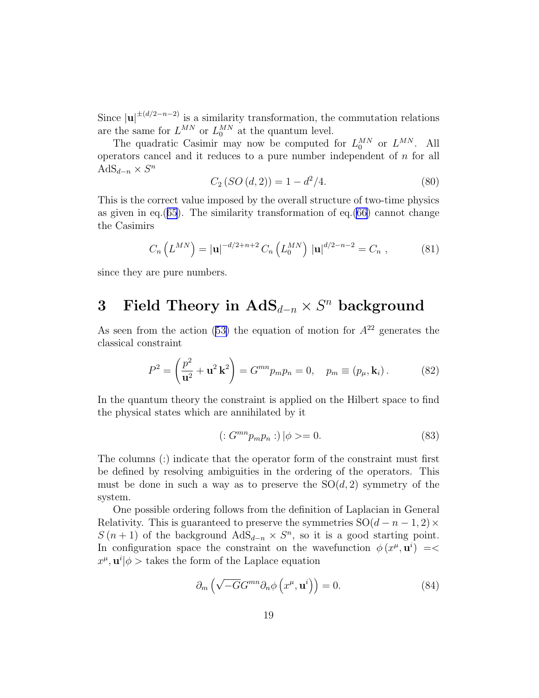Since  $|u|^{+(d/2-n-2)}$  is a similarity transformation, the commutation relations are the same for  $L^{MN}$  or  $L_0^{MN}$  at the quantum level.

The quadratic Casimir may now be computed for  $L_0^{MN}$  or  $L^{MN}$ . All operators cancel and it reduces to a pure number independent of  $n$  for all AdS<sub>d−n</sub>  $\times S^n$ 

$$
C_2(SO(d,2)) = 1 - d^2/4.
$$
 (80)

This is the correct value imposed by the overall structure of two-time physics as given in eq.([65](#page-16-0)). The similarity transformation of eq.[\(66](#page-16-0)) cannot change the Casimirs

$$
C_n\left(L^{MN}\right) = |\mathbf{u}|^{-d/2+n+2} C_n\left(L_0^{MN}\right) |\mathbf{u}|^{d/2-n-2} = C_n , \qquad (81)
$$

since they are pure numbers.

# 3 Field Theory in  $\text{AdS}_{d-n} \times S^n$  background

Asseen from the action ([53\)](#page-13-0) the equation of motion for  $A^{22}$  generates the classical constraint

$$
P^{2} = \left(\frac{p^{2}}{\mathbf{u}^{2}} + \mathbf{u}^{2} \mathbf{k}^{2}\right) = G^{mn} p_{m} p_{n} = 0, \quad p_{m} \equiv (p_{\mu}, \mathbf{k}_{i}). \tag{82}
$$

In the quantum theory the constraint is applied on the Hilbert space to find the physical states which are annihilated by it

$$
(:G^{mn}p_m p_n:)|\phi\rangle = 0.
$$
\n(83)

The columns (:) indicate that the operator form of the constraint must first be defined by resolving ambiguities in the ordering of the operators. This must be done in such a way as to preserve the  $SO(d,2)$  symmetry of the system.

One possible ordering follows from the definition of Laplacian in General Relativity. This is guaranteed to preserve the symmetries  $SO(d - n - 1, 2) \times$  $S(n+1)$  of the background  $AdS_{d-n} \times S^n$ , so it is a good starting point. In configuration space the constraint on the wavefunction  $\phi(x^{\mu}, \mathbf{u}^i) =$  $x^{\mu}$ ,  $\mathbf{u}^{i}|\phi>$  takes the form of the Laplace equation

$$
\partial_m \left( \sqrt{-G} G^{mn} \partial_n \phi \left( x^{\mu}, \mathbf{u}^i \right) \right) = 0. \tag{84}
$$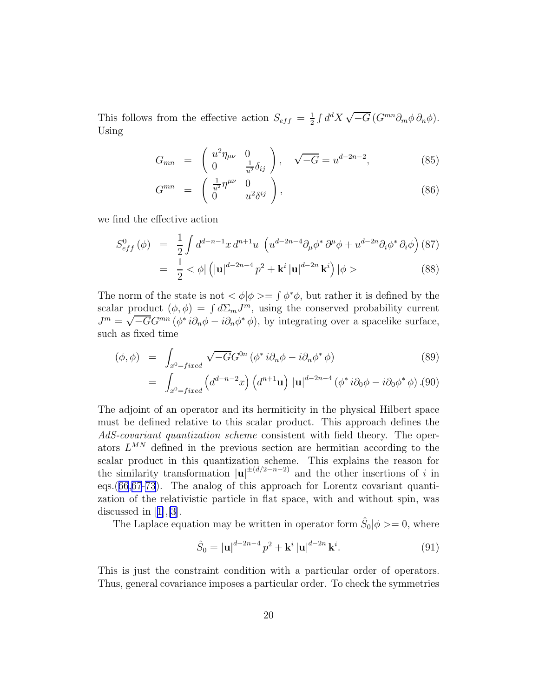<span id="page-19-0"></span>This follows from the effective action  $S_{eff} = \frac{1}{2}$  $\frac{1}{2} \int d^d X \sqrt{-G} \left( G^{mn} \partial_m \phi \partial_n \phi \right).$ Using

$$
G_{mn} = \begin{pmatrix} u^2 \eta_{\mu\nu} & 0 \\ 0 & \frac{1}{u^2} \delta_{ij} \end{pmatrix}, \quad \sqrt{-G} = u^{d-2n-2}, \tag{85}
$$

$$
G^{mn} = \begin{pmatrix} \frac{1}{u^2} \eta^{\mu\nu} & 0\\ 0 & u^2 \delta^{ij} \end{pmatrix}, \tag{86}
$$

we find the effective action

$$
S_{eff}^{0}(\phi) = \frac{1}{2} \int d^{d-n-1}x \, d^{n+1}u \, \left( u^{d-2n-4} \partial_{\mu} \phi^* \, \partial^{\mu} \phi + u^{d-2n} \partial_i \phi^* \, \partial_i \phi \right) (87)
$$
  
= 
$$
\frac{1}{2} < \phi | \left( |u|^{d-2n-4} p^2 + \mathbf{k}^i |u|^{d-2n} \mathbf{k}^i \right) | \phi >
$$
 (88)

The norm of the state is not  $\langle \phi | \phi \rangle = \int \phi^* \phi$ , but rather it is defined by the scalar product  $(\phi, \phi) = \int d\Sigma_m J^m$ , using the conserved probability current  $J^m = \sqrt{-G}G^{mn}(\phi^* i\partial_n \phi - i\partial_n \phi^* \phi)$ , by integrating over a spacelike surface, such as fixed time

$$
(\phi, \phi) = \int_{x^0 = fixed} \sqrt{-G} G^{0n} (\phi^* i \partial_n \phi - i \partial_n \phi^* \phi)
$$
 (89)

$$
= \int_{x^0 = fixed} \left( d^{d-n-2}x \right) \left( d^{n+1} \mathbf{u} \right) \left| \mathbf{u} \right|^{d-2n-4} \left( \phi^* i \partial_0 \phi - i \partial_0 \phi^* \phi \right). (90)
$$

The adjoint of an operator and its hermiticity in the physical Hilbert space must be defined relative to this scalar product. This approach defines the AdS-covariant quantization scheme consistent with field theory. The operators  $L^{MN}$  defined in the previous section are hermitian according to the scalar product in this quantization scheme. This explains the reason for the similarity transformation  $|u|^{(d/2-n-2)}$  and the other insertions of i in eqs.([66](#page-16-0),[67-73](#page-17-0)). The analog of this approach for Lorentz covariant quantization of the relativistic particle in flat space, with and without spin, was discussedin  $|1|,|3|$ .

The Laplace equation may be written in operator form  $\hat{S}_0|\phi\rangle = 0$ , where

$$
\hat{S}_0 = |\mathbf{u}|^{d-2n-4} p^2 + \mathbf{k}^i |\mathbf{u}|^{d-2n} \mathbf{k}^i.
$$
 (91)

This is just the constraint condition with a particular order of operators. Thus, general covariance imposes a particular order. To check the symmetries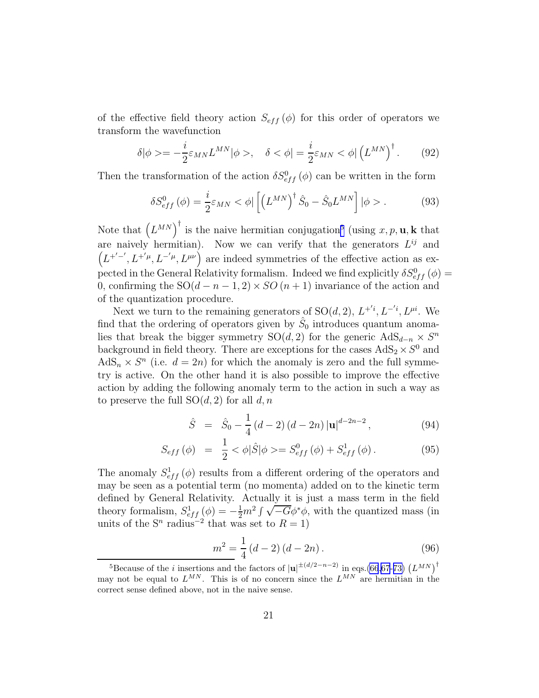of the effective field theory action  $S_{eff}(\phi)$  for this order of operators we transform the wavefunction

$$
\delta|\phi\rangle = -\frac{i}{2}\varepsilon_{MN}L^{MN}|\phi\rangle, \quad \delta < \phi| = \frac{i}{2}\varepsilon_{MN} < \phi\left(\left(L^{MN}\right)^{\dagger}.\right) \tag{92}
$$

Then the transformation of the action  $\delta S^0_{eff}(\phi)$  can be written in the form

$$
\delta S_{eff}^{0} \left( \phi \right) = \frac{i}{2} \varepsilon_{MN} < \phi \left| \left[ \left( L^{MN} \right)^{\dagger} \hat{S}_{0} - \hat{S}_{0} L^{MN} \right] \right| \phi > . \tag{93}
$$

Note that  $(L^{MN})^{\dagger}$  is the naive hermitian conjugation<sup>5</sup> (using x, p, **u**, k that are naively hermitian). Now we can verify that the generators  $L^{ij}$  and  $(L^{+/-}, L^{+/\mu}, L^{-/\mu}, L^{\mu\nu})$  are indeed symmetries of the effective action as expected in the General Relativity formalism. Indeed we find explicitly  $\delta S_{eff}^{0}(\phi) =$ 0, confirming the  $SO(d - n - 1, 2) \times SO(n + 1)$  invariance of the action and of the quantization procedure.

Next we turn to the remaining generators of  $SO(d, 2)$ ,  $L^{+'}$ ,  $L^{-'}$ ,  $L^{\mu i}$ . We find that the ordering of operators given by  $\hat{S}_0$  introduces quantum anomalies that break the bigger symmetry SO(d, 2) for the generic  $AdS_{d-n} \times S^n$ background in field theory. There are exceptions for the cases  $AdS_2 \times S^0$  and  $AdS_n \times S^n$  (i.e.  $d = 2n$ ) for which the anomaly is zero and the full symmetry is active. On the other hand it is also possible to improve the effective action by adding the following anomaly term to the action in such a way as to preserve the full  $SO(d, 2)$  for all d, n

$$
\hat{S} = \hat{S}_0 - \frac{1}{4} (d - 2) (d - 2n) |\mathbf{u}|^{d - 2n - 2}, \tag{94}
$$

$$
S_{eff}(\phi) = \frac{1}{2} < \phi | \hat{S} | \phi > = S_{eff}^{0}(\phi) + S_{eff}^{1}(\phi).
$$
 (95)

The anomaly  $S^1_{eff}(\phi)$  results from a different ordering of the operators and may be seen as a potential term (no momenta) added on to the kinetic term defined by General Relativity. Actually it is just a mass term in the field theory formalism,  $S_{eff}^1(\phi) = -\frac{1}{2}m^2 \int \sqrt{-G} \phi^* \phi$ , with the quantized mass (in units of the  $S<sup>n</sup>$  radius<sup>-2</sup> that was set to  $R = 1$ )

$$
\frac{m^2}{4} = \frac{1}{4}(d-2)(d-2n). \tag{96}
$$

<sup>&</sup>lt;sup>5</sup>Because of the *i* insertions and the factors of  $|\mathbf{u}|^{\pm(d/2-n-2)}$  in eqs.[\(66](#page-16-0)[,67](#page-17-0)-[73\)](#page-17-0)  $(L^{MN})^{\dagger}$ may not be equal to  $L^{MN}$ . This is of no concern since the  $L^{MN}$  are hermitian in the correct sense defined above, not in the naive sense.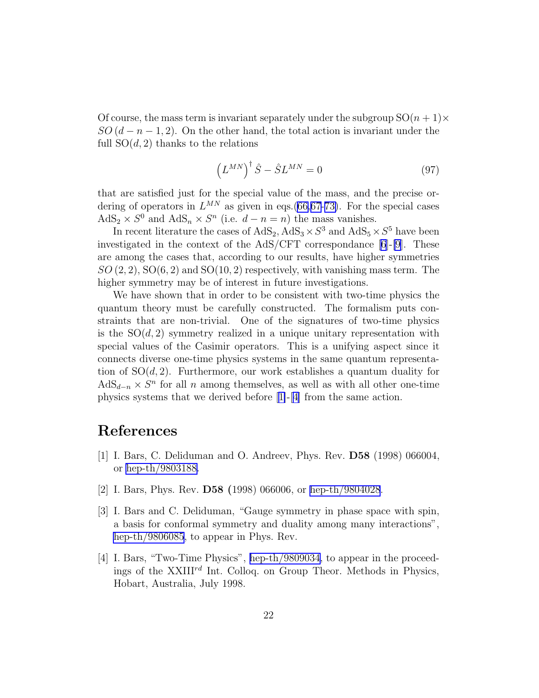<span id="page-21-0"></span>Of course, the mass term is invariant separately under the subgroup  $SO(n + 1) \times$  $SO(d-n-1,2)$ . On the other hand, the total action is invariant under the full  $SO(d, 2)$  thanks to the relations

$$
\left(L^{MN}\right)^{\dagger}\hat{S} - \hat{S}L^{MN} = 0\tag{97}
$$

that are satisfied just for the special value of the mass, and the precise ordering of operators in  $L^{MN}$  as given in eqs.[\(66,](#page-16-0)[67-73\)](#page-17-0). For the special cases  $\text{AdS}_2 \times S^0$  and  $\text{AdS}_n \times S^n$  (i.e.  $d - n = n$ ) the mass vanishes.

In recent literature the cases of  $AdS_2$ ,  $AdS_3 \times S^3$  and  $AdS_5 \times S^5$  have been investigated in the context of the AdS/CFT correspondance [\[6\]](#page-22-0)-[\[9](#page-22-0)]. These are among the cases that, according to our results, have higher symmetries  $SO(2,2), SO(6, 2)$  and  $SO(10, 2)$  respectively, with vanishing mass term. The higher symmetry may be of interest in future investigations.

We have shown that in order to be consistent with two-time physics the quantum theory must be carefully constructed. The formalism puts constraints that are non-trivial. One of the signatures of two-time physics is the  $SO(d, 2)$  symmetry realized in a unique unitary representation with special values of the Casimir operators. This is a unifying aspect since it connects diverse one-time physics systems in the same quantum representation of  $SO(d, 2)$ . Furthermore, our work establishes a quantum duality for  $AdS_{d-n} \times S^n$  for all n among themselves, as well as with all other one-time physics systems that we derived before [1]-[4] from the same action.

### References

- [1] I. Bars, C. Deliduman and O. Andreev, Phys. Rev. D58 (1998) 066004, or [hep-th/9803188.](http://arxiv.org/abs/hep-th/9803188)
- [2] I. Bars, Phys. Rev. D58 (1998) 066006, or [hep-th/9804028](http://arxiv.org/abs/hep-th/9804028).
- [3] I. Bars and C. Deliduman, "Gauge symmetry in phase space with spin, a basis for conformal symmetry and duality among many interactions", [hep-th/9806085](http://arxiv.org/abs/hep-th/9806085), to appear in Phys. Rev.
- [4] I. Bars, "Two-Time Physics", [hep-th/9809034,](http://arxiv.org/abs/hep-th/9809034) to appear in the proceedings of the  $XXIII^{rd}$  Int. Colloq. on Group Theor. Methods in Physics, Hobart, Australia, July 1998.